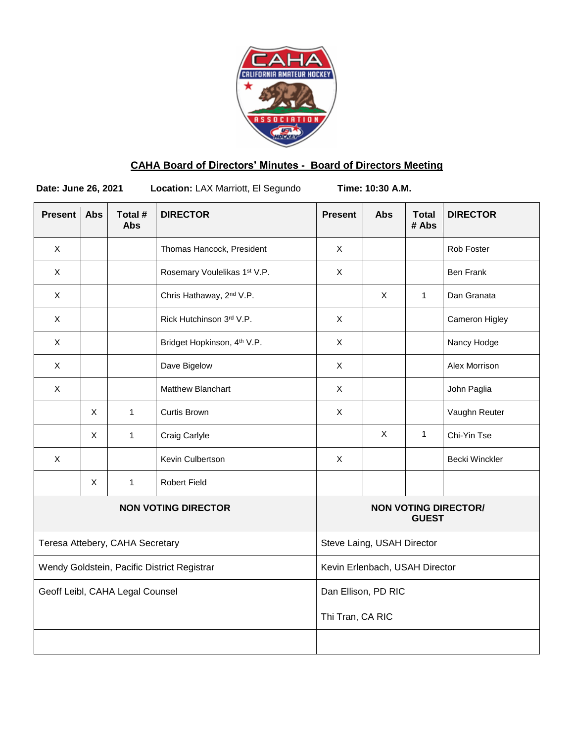

# **CAHA Board of Directors' Minutes - Board of Directors Meeting**

٦

**Date: June 26, 2021 Location:** LAX Marriott, El Segundo **Time: 10:30 A.M.**

| <b>Present</b>                              | <b>Abs</b> | Total #<br><b>Abs</b> | <b>DIRECTOR</b>                         | <b>Present</b>                              | Abs          | <b>Total</b><br># Abs | <b>DIRECTOR</b>       |
|---------------------------------------------|------------|-----------------------|-----------------------------------------|---------------------------------------------|--------------|-----------------------|-----------------------|
| $\mathsf X$                                 |            |                       | Thomas Hancock, President               | $\mathsf X$                                 |              |                       | Rob Foster            |
| X                                           |            |                       | Rosemary Voulelikas 1st V.P.            | $\mathsf{X}$                                |              |                       | <b>Ben Frank</b>      |
| X                                           |            |                       | Chris Hathaway, 2 <sup>nd</sup> V.P.    |                                             | X            | $\mathbf{1}$          | Dan Granata           |
| X                                           |            |                       | Rick Hutchinson 3rd V.P.                | X                                           |              |                       | Cameron Higley        |
| $\mathsf X$                                 |            |                       | Bridget Hopkinson, 4 <sup>th</sup> V.P. | $\mathsf{X}$                                |              |                       | Nancy Hodge           |
| X                                           |            |                       | Dave Bigelow                            | $\mathsf{X}$                                |              |                       | Alex Morrison         |
| X                                           |            |                       | Matthew Blanchart                       | $\mathsf X$                                 |              |                       | John Paglia           |
|                                             | X          | $\mathbf{1}$          | <b>Curtis Brown</b>                     | $\mathsf{X}$                                |              |                       | Vaughn Reuter         |
|                                             | X          | $\mathbf{1}$          | Craig Carlyle                           |                                             | $\mathsf{X}$ | $\mathbf{1}$          | Chi-Yin Tse           |
| X                                           |            |                       | Kevin Culbertson                        | $\mathsf{X}$                                |              |                       | <b>Becki Winckler</b> |
|                                             | X          | $\mathbf{1}$          | <b>Robert Field</b>                     |                                             |              |                       |                       |
| <b>NON VOTING DIRECTOR</b>                  |            |                       |                                         | <b>NON VOTING DIRECTOR/</b><br><b>GUEST</b> |              |                       |                       |
| Teresa Attebery, CAHA Secretary             |            |                       |                                         | Steve Laing, USAH Director                  |              |                       |                       |
| Wendy Goldstein, Pacific District Registrar |            |                       |                                         | Kevin Erlenbach, USAH Director              |              |                       |                       |
| Geoff Leibl, CAHA Legal Counsel             |            |                       |                                         | Dan Ellison, PD RIC                         |              |                       |                       |
|                                             |            |                       |                                         | Thi Tran, CA RIC                            |              |                       |                       |
|                                             |            |                       |                                         |                                             |              |                       |                       |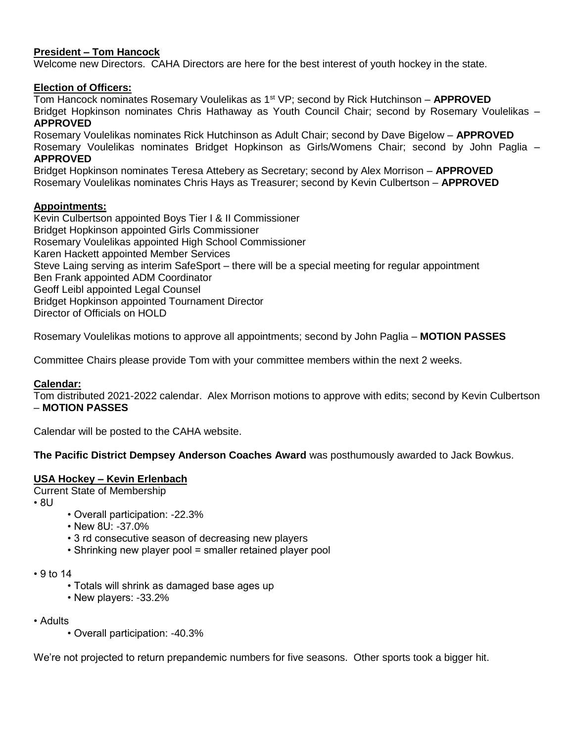# **President – Tom Hancock**

Welcome new Directors. CAHA Directors are here for the best interest of youth hockey in the state.

### **Election of Officers:**

Tom Hancock nominates Rosemary Voulelikas as 1st VP; second by Rick Hutchinson – **APPROVED** Bridget Hopkinson nominates Chris Hathaway as Youth Council Chair; second by Rosemary Voulelikas – **APPROVED**

Rosemary Voulelikas nominates Rick Hutchinson as Adult Chair; second by Dave Bigelow – **APPROVED** Rosemary Voulelikas nominates Bridget Hopkinson as Girls/Womens Chair; second by John Paglia – **APPROVED**

Bridget Hopkinson nominates Teresa Attebery as Secretary; second by Alex Morrison – **APPROVED** Rosemary Voulelikas nominates Chris Hays as Treasurer; second by Kevin Culbertson – **APPROVED**

### **Appointments:**

Kevin Culbertson appointed Boys Tier I & II Commissioner Bridget Hopkinson appointed Girls Commissioner Rosemary Voulelikas appointed High School Commissioner Karen Hackett appointed Member Services Steve Laing serving as interim SafeSport – there will be a special meeting for regular appointment Ben Frank appointed ADM Coordinator Geoff Leibl appointed Legal Counsel Bridget Hopkinson appointed Tournament Director Director of Officials on HOLD

Rosemary Voulelikas motions to approve all appointments; second by John Paglia – **MOTION PASSES**

Committee Chairs please provide Tom with your committee members within the next 2 weeks.

# **Calendar:**

Tom distributed 2021-2022 calendar. Alex Morrison motions to approve with edits; second by Kevin Culbertson – **MOTION PASSES**

Calendar will be posted to the CAHA website.

# **The Pacific District Dempsey Anderson Coaches Award** was posthumously awarded to Jack Bowkus.

#### **USA Hockey – Kevin Erlenbach**

Current State of Membership

 $\cdot$  8U

- Overall participation: -22.3%
- New 8U: -37.0%
- 3 rd consecutive season of decreasing new players
- Shrinking new player pool = smaller retained player pool

• 9 to 14

- Totals will shrink as damaged base ages up
- New players: -33.2%

• Adults

• Overall participation: -40.3%

We're not projected to return prepandemic numbers for five seasons. Other sports took a bigger hit.